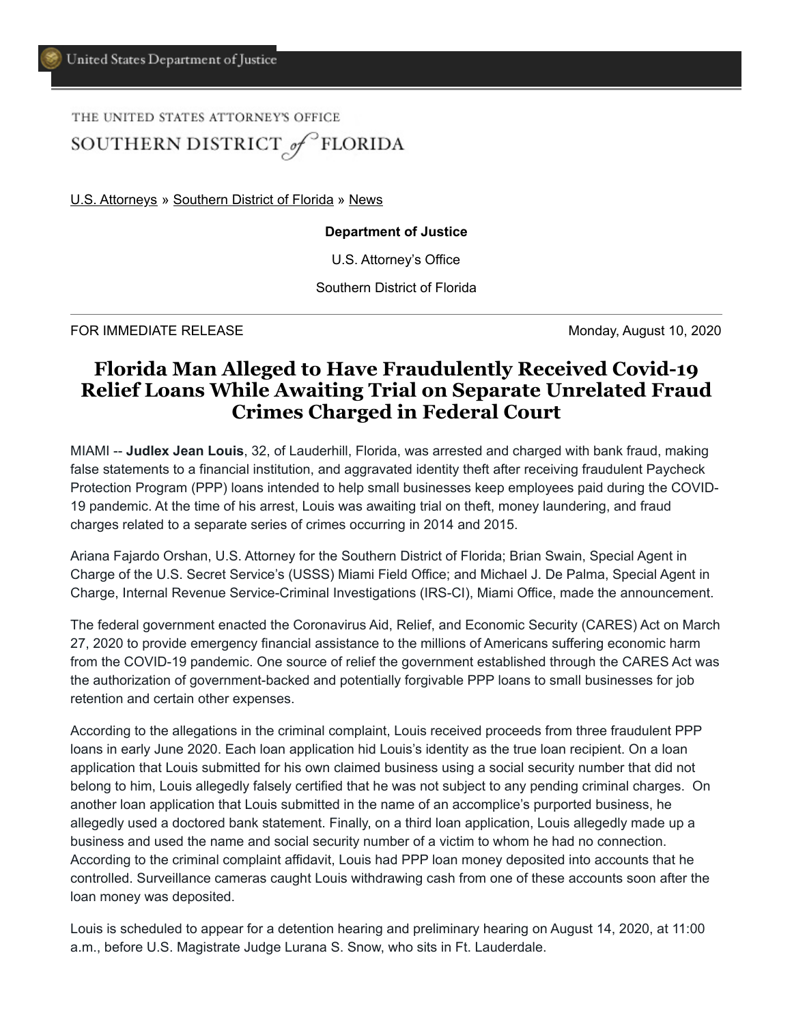## THE UNITED STATES ATTORNEY'S OFFICE SOUTHERN DISTRICT of FLORIDA

[U.S. Attorneys](https://www.justice.gov/usao) » [Southern District of Florida](https://www.justice.gov/usao-sdfl) » [News](https://www.justice.gov/usao-sdfl/pr)

## **Department of Justice**

U.S. Attorney's Office

Southern District of Florida

FOR IMMEDIATE RELEASE Monday, August 10, 2020

## **Florida Man Alleged to Have Fraudulently Received Covid-19 Relief Loans While Awaiting Trial on Separate Unrelated Fraud Crimes Charged in Federal Court**

MIAMI -- **Judlex Jean Louis**, 32, of Lauderhill, Florida, was arrested and charged with bank fraud, making false statements to a financial institution, and aggravated identity theft after receiving fraudulent Paycheck Protection Program (PPP) loans intended to help small businesses keep employees paid during the COVID-19 pandemic. At the time of his arrest, Louis was awaiting trial on theft, money laundering, and fraud charges related to a separate series of crimes occurring in 2014 and 2015.

Ariana Fajardo Orshan, U.S. Attorney for the Southern District of Florida; Brian Swain, Special Agent in Charge of the U.S. Secret Service's (USSS) Miami Field Office; and Michael J. De Palma, Special Agent in Charge, Internal Revenue Service-Criminal Investigations (IRS-CI), Miami Office, made the announcement.

The federal government enacted the Coronavirus Aid, Relief, and Economic Security (CARES) Act on March 27, 2020 to provide emergency financial assistance to the millions of Americans suffering economic harm from the COVID-19 pandemic. One source of relief the government established through the CARES Act was the authorization of government-backed and potentially forgivable PPP loans to small businesses for job retention and certain other expenses.

According to the allegations in the criminal complaint, Louis received proceeds from three fraudulent PPP loans in early June 2020. Each loan application hid Louis's identity as the true loan recipient. On a loan application that Louis submitted for his own claimed business using a social security number that did not belong to him, Louis allegedly falsely certified that he was not subject to any pending criminal charges. On another loan application that Louis submitted in the name of an accomplice's purported business, he allegedly used a doctored bank statement. Finally, on a third loan application, Louis allegedly made up a business and used the name and social security number of a victim to whom he had no connection. According to the criminal complaint affidavit, Louis had PPP loan money deposited into accounts that he controlled. Surveillance cameras caught Louis withdrawing cash from one of these accounts soon after the loan money was deposited.

Louis is scheduled to appear for a detention hearing and preliminary hearing on August 14, 2020, at 11:00 a.m., before U.S. Magistrate Judge Lurana S. Snow, who sits in Ft. Lauderdale.